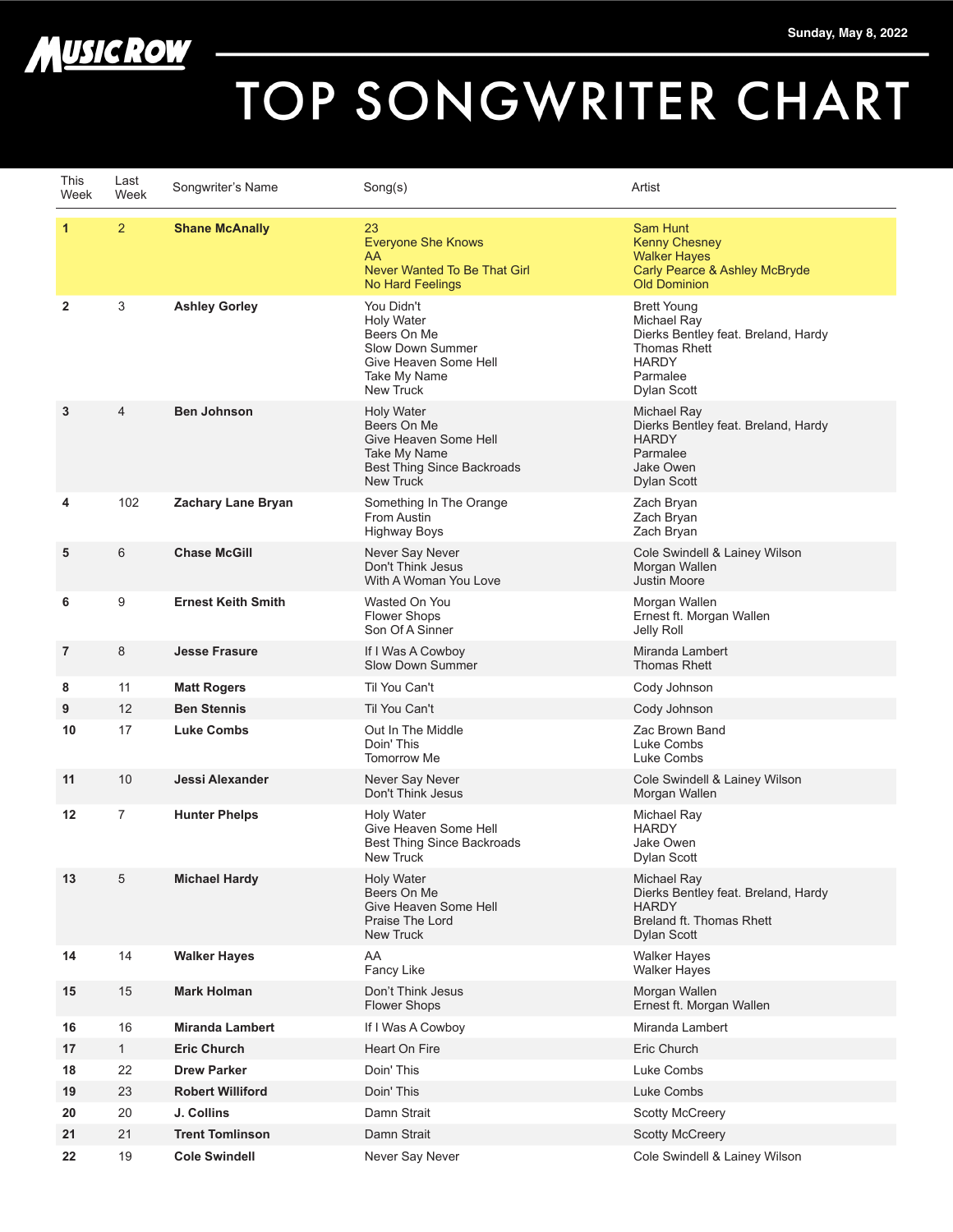



## TOP SONGWRITER CHART

| This<br>Week   | Last<br>Week   | Songwriter's Name         | Song(s)                                                                                                                            | Artist                                                                                                                                     |
|----------------|----------------|---------------------------|------------------------------------------------------------------------------------------------------------------------------------|--------------------------------------------------------------------------------------------------------------------------------------------|
| $\mathbf{1}$   | $\overline{2}$ | <b>Shane McAnally</b>     | 23<br><b>Everyone She Knows</b><br>AA<br>Never Wanted To Be That Girl<br>No Hard Feelings                                          | Sam Hunt<br><b>Kenny Chesney</b><br><b>Walker Hayes</b><br>Carly Pearce & Ashley McBryde<br><b>Old Dominion</b>                            |
| $\overline{2}$ | 3              | <b>Ashley Gorley</b>      | You Didn't<br><b>Holy Water</b><br>Beers On Me<br>Slow Down Summer<br>Give Heaven Some Hell<br>Take My Name<br><b>New Truck</b>    | <b>Brett Young</b><br>Michael Ray<br>Dierks Bentley feat. Breland, Hardy<br><b>Thomas Rhett</b><br><b>HARDY</b><br>Parmalee<br>Dylan Scott |
| 3              | $\overline{4}$ | <b>Ben Johnson</b>        | <b>Holy Water</b><br>Beers On Me<br>Give Heaven Some Hell<br>Take My Name<br><b>Best Thing Since Backroads</b><br><b>New Truck</b> | Michael Ray<br>Dierks Bentley feat. Breland, Hardy<br><b>HARDY</b><br>Parmalee<br>Jake Owen<br><b>Dylan Scott</b>                          |
| 4              | 102            | Zachary Lane Bryan        | Something In The Orange<br>From Austin<br><b>Highway Boys</b>                                                                      | Zach Bryan<br>Zach Bryan<br>Zach Bryan                                                                                                     |
| 5              | 6              | <b>Chase McGill</b>       | Never Say Never<br>Don't Think Jesus<br>With A Woman You Love                                                                      | Cole Swindell & Lainey Wilson<br>Morgan Wallen<br><b>Justin Moore</b>                                                                      |
| 6              | 9              | <b>Ernest Keith Smith</b> | Wasted On You<br><b>Flower Shops</b><br>Son Of A Sinner                                                                            | Morgan Wallen<br>Ernest ft. Morgan Wallen<br>Jelly Roll                                                                                    |
| 7              | 8              | <b>Jesse Frasure</b>      | If I Was A Cowboy<br>Slow Down Summer                                                                                              | Miranda Lambert<br><b>Thomas Rhett</b>                                                                                                     |
| 8              | 11             | <b>Matt Rogers</b>        | Til You Can't                                                                                                                      | Cody Johnson                                                                                                                               |
| 9              | 12             | <b>Ben Stennis</b>        | Til You Can't                                                                                                                      | Cody Johnson                                                                                                                               |
| 10             | 17             | <b>Luke Combs</b>         | Out In The Middle<br>Doin' This<br><b>Tomorrow Me</b>                                                                              | Zac Brown Band<br>Luke Combs<br>Luke Combs                                                                                                 |
| 11             | 10             | Jessi Alexander           | Never Say Never<br>Don't Think Jesus                                                                                               | Cole Swindell & Lainey Wilson<br>Morgan Wallen                                                                                             |
| 12             | $\overline{7}$ | <b>Hunter Phelps</b>      | <b>Holv Water</b><br>Give Heaven Some Hell<br>Best Thing Since Backroads<br><b>New Truck</b>                                       | Michael Ray<br><b>HARDY</b><br>Jake Owen<br>Dylan Scott                                                                                    |
| 13             | 5              | <b>Michael Hardy</b>      | <b>Holy Water</b><br>Beers On Me<br>Give Heaven Some Hell<br>Praise The Lord<br>New Truck                                          | Michael Ray<br>Dierks Bentley feat. Breland, Hardy<br><b>HARDY</b><br>Breland ft. Thomas Rhett<br>Dylan Scott                              |
| 14             | 14             | <b>Walker Hayes</b>       | AA<br>Fancy Like                                                                                                                   | <b>Walker Hayes</b><br><b>Walker Hayes</b>                                                                                                 |
| 15             | 15             | <b>Mark Holman</b>        | Don't Think Jesus<br><b>Flower Shops</b>                                                                                           | Morgan Wallen<br>Ernest ft. Morgan Wallen                                                                                                  |
| 16             | 16             | <b>Miranda Lambert</b>    | If I Was A Cowboy                                                                                                                  | Miranda Lambert                                                                                                                            |
| 17             | 1              | <b>Eric Church</b>        | Heart On Fire                                                                                                                      | Eric Church                                                                                                                                |
| 18             | 22             | <b>Drew Parker</b>        | Doin' This                                                                                                                         | Luke Combs                                                                                                                                 |
| 19             | 23             | <b>Robert Williford</b>   | Doin' This                                                                                                                         | Luke Combs                                                                                                                                 |
| 20             | 20             | J. Collins                | Damn Strait                                                                                                                        | <b>Scotty McCreery</b>                                                                                                                     |
| 21             | 21             | <b>Trent Tomlinson</b>    | Damn Strait                                                                                                                        | <b>Scotty McCreery</b>                                                                                                                     |
| 22             | 19             | <b>Cole Swindell</b>      | Never Say Never                                                                                                                    | Cole Swindell & Lainey Wilson                                                                                                              |